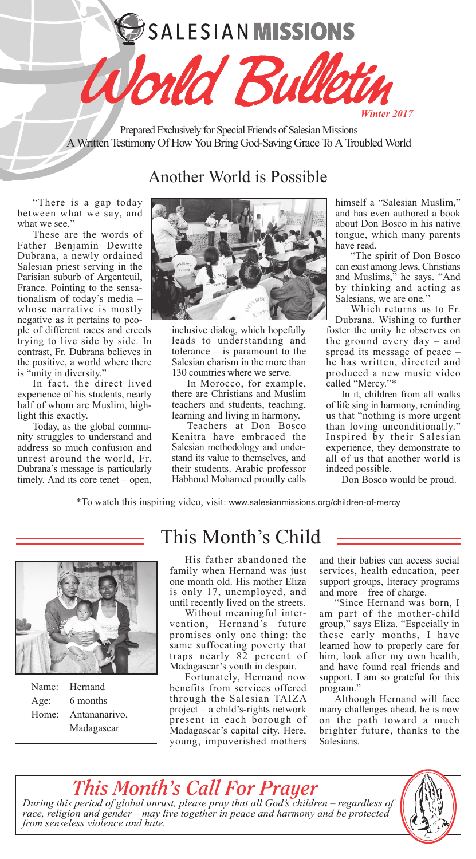# SALESIAN MISSIONS



Prepared Exclusively for Special Friends of Salesian Missions A Written Testimony Of How You Bring God-Saving Grace To A Troubled World

### Another World is Possible

"There is a gap today between what we say, and what we see."

These are the words of Father Benjamin Dewitte Dubrana, a newly ordained Salesian priest serving in the Parisian suburb of Argenteuil, France. Pointing to the sensationalism of today's media – whose narrative is mostly negative as it pertains to people of different races and creeds trying to live side by side. In contrast, Fr. Dubrana believes in the positive, a world where there

is "unity in diversity." In fact, the direct lived experience of his students, nearly half of whom are Muslim, highlight this exactly.

Today, as the global community struggles to understand and address so much confusion and unrest around the world, Fr. Dubrana's message is particularly timely. And its core tenet – open,



inclusive dialog, which hopefully leads to understanding and tolerance  $-$  is paramount to the Salesian charism in the more than 130 countries where we serve.

In Morocco, for example, there are Christians and Muslim teachers and students, teaching, learning and living in harmony.

Teachers at Don Bosco Kenitra have embraced the Salesian methodology and understand its value to themselves, and their students. Arabic professor Habhoud Mohamed proudly calls himself a "Salesian Muslim," and has even authored a book about Don Bosco in his native tongue, which many parents have read.

"The spirit of Don Bosco can exist among Jews, Christians and Muslims," he says. "And by thinking and acting as Salesians, we are one.'

Which returns us to Fr. Dubrana. Wishing to further foster the unity he observes on the ground every day – and spread its message of peace – he has written, directed and produced a new music video called "Mercy."\*

In it, children from all walks of life sing in harmony, reminding us that "nothing is more urgent than loving unconditionally." Inspired by their Salesian experience, they demonstrate to all of us that another world is indeed possible.

Don Bosco would be proud.

\*To watch this inspiring video, visit: www.salesianmissions.org/children-of-mercy



| Name: | Hernand       |
|-------|---------------|
| Age:  | 6 months      |
| Home: | Antananarivo, |
|       | Madagascar    |

*from senseless violence and hate.*

## This Month's Child

His father abandoned the family when Hernand was just one month old. His mother Eliza is only 17, unemployed, and until recently lived on the streets.

Without meaningful intervention, Hernand's future promises only one thing: the same suffocating poverty that traps nearly 82 percent of Madagascar's youth in despair.

Fortunately, Hernand now benefits from services offered through the Salesian TAIZA project – a child's-rights network present in each borough of Madagascar's capital city. Here, young, impoverished mothers

and their babies can access social services, health education, peer support groups, literacy programs and more – free of charge.

"Since Hernand was born, I am part of the mother-child group," says Eliza. "Especially in these early months, I have learned how to properly care for him, look after my own health, and have found real friends and support. I am so grateful for this program."

Although Hernand will face many challenges ahead, he is now on the path toward a much brighter future, thanks to the Salesians.

#### *This Month's Call For Prayer During this period of global unrust, please pray that all God's children* – *regardless of race, religion and gender* – *may live together in peace and harmony and be protected*